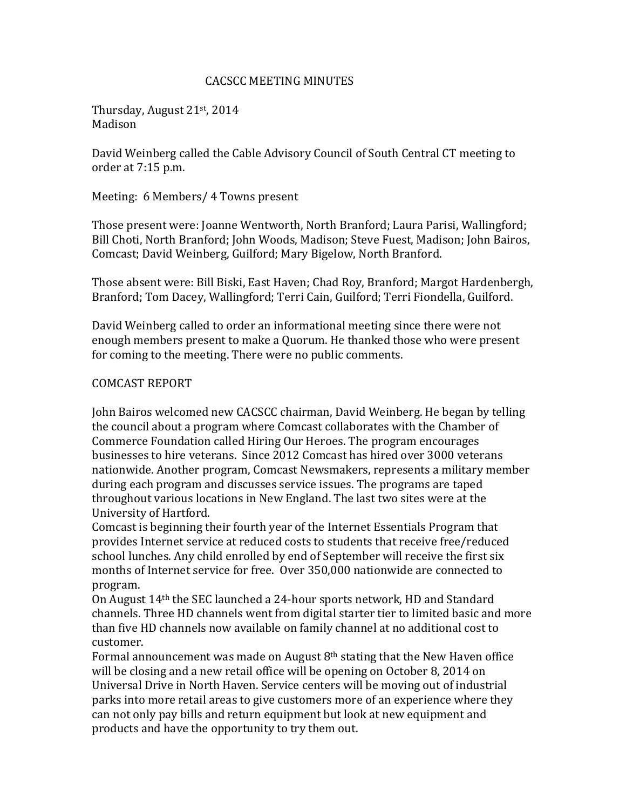### CACSCC MEETING MINUTES

Thursday, August 21st, 2014 Madison

David Weinberg called the Cable Advisory Council of South Central CT meeting to order at 7:15 p.m.

Meeting: 6 Members/ 4 Towns present

Those present were: Joanne Wentworth, North Branford; Laura Parisi, Wallingford; Bill Choti, North Branford; John Woods, Madison; Steve Fuest, Madison; John Bairos, Comcast; David Weinberg, Guilford; Mary Bigelow, North Branford.

Those absent were: Bill Biski, East Haven; Chad Roy, Branford; Margot Hardenbergh, Branford; Tom Dacey, Wallingford; Terri Cain, Guilford; Terri Fiondella, Guilford.

David Weinberg called to order an informational meeting since there were not enough members present to make a Quorum. He thanked those who were present for coming to the meeting. There were no public comments.

## COMCAST REPORT

John Bairos welcomed new CACSCC chairman, David Weinberg. He began by telling the council about a program where Comcast collaborates with the Chamber of Commerce Foundation called Hiring Our Heroes. The program encourages businesses to hire veterans. Since 2012 Comcast has hired over 3000 veterans nationwide. Another program, Comcast Newsmakers, represents a military member during each program and discusses service issues. The programs are taped throughout various locations in New England. The last two sites were at the University of Hartford.

Comcast is beginning their fourth year of the Internet Essentials Program that provides Internet service at reduced costs to students that receive free/reduced school lunches. Any child enrolled by end of September will receive the first six months of Internet service for free. Over 350,000 nationwide are connected to program.

On August 14th the SEC launched a 24-hour sports network, HD and Standard channels. Three HD channels went from digital starter tier to limited basic and more than five HD channels now available on family channel at no additional cost to customer.

Formal announcement was made on August  $8<sup>th</sup>$  stating that the New Haven office will be closing and a new retail office will be opening on October 8, 2014 on Universal Drive in North Haven. Service centers will be moving out of industrial parks into more retail areas to give customers more of an experience where they can not only pay bills and return equipment but look at new equipment and products and have the opportunity to try them out.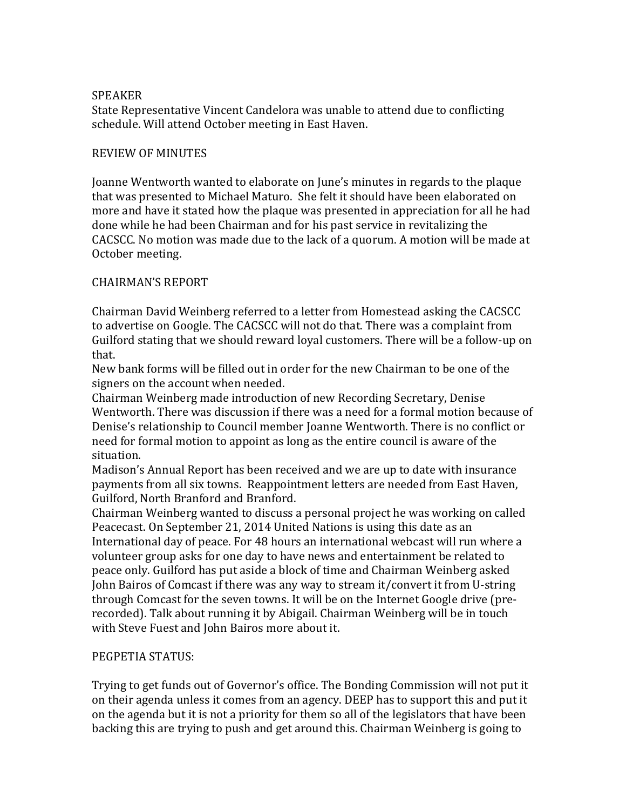## SPEAKER

State Representative Vincent Candelora was unable to attend due to conflicting schedule. Will attend October meeting in East Haven.

## REVIEW OF MINUTES

Joanne Wentworth wanted to elaborate on June's minutes in regards to the plaque that was presented to Michael Maturo. She felt it should have been elaborated on more and have it stated how the plaque was presented in appreciation for all he had done while he had been Chairman and for his past service in revitalizing the CACSCC. No motion was made due to the lack of a quorum. A motion will be made at October meeting.

# CHAIRMAN'S REPORT

Chairman David Weinberg referred to a letter from Homestead asking the CACSCC to advertise on Google. The CACSCC will not do that. There was a complaint from Guilford stating that we should reward loyal customers. There will be a follow-up on that.

New bank forms will be filled out in order for the new Chairman to be one of the signers on the account when needed.

Chairman Weinberg made introduction of new Recording Secretary, Denise Wentworth. There was discussion if there was a need for a formal motion because of Denise's relationship to Council member Joanne Wentworth. There is no conflict or need for formal motion to appoint as long as the entire council is aware of the situation.

Madison's Annual Report has been received and we are up to date with insurance payments from all six towns. Reappointment letters are needed from East Haven, Guilford, North Branford and Branford.

Chairman Weinberg wanted to discuss a personal project he was working on called Peacecast. On September 21, 2014 United Nations is using this date as an International day of peace. For 48 hours an international webcast will run where a volunteer group asks for one day to have news and entertainment be related to peace only. Guilford has put aside a block of time and Chairman Weinberg asked John Bairos of Comcast if there was any way to stream it/convert it from U-string through Comcast for the seven towns. It will be on the Internet Google drive (prerecorded). Talk about running it by Abigail. Chairman Weinberg will be in touch with Steve Fuest and John Bairos more about it.

### PEGPETIA STATUS:

Trying to get funds out of Governor's office. The Bonding Commission will not put it on their agenda unless it comes from an agency. DEEP has to support this and put it on the agenda but it is not a priority for them so all of the legislators that have been backing this are trying to push and get around this. Chairman Weinberg is going to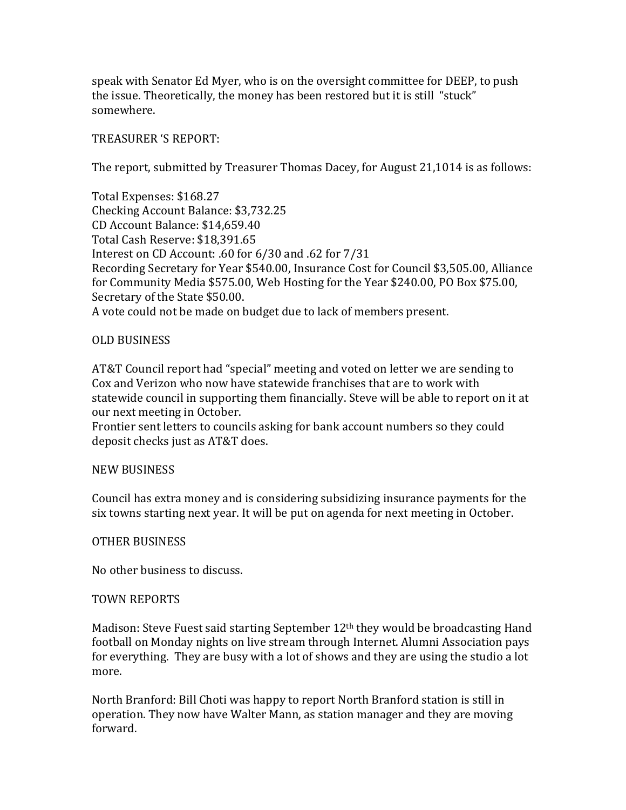speak with Senator Ed Myer, who is on the oversight committee for DEEP, to push the issue. Theoretically, the money has been restored but it is still "stuck" somewhere.

## TREASURER 'S REPORT:

The report, submitted by Treasurer Thomas Dacey, for August 21,1014 is as follows:

Total Expenses: \$168.27 Checking Account Balance: \$3,732.25 CD Account Balance: \$14,659.40 Total Cash Reserve: \$18,391.65 Interest on CD Account: .60 for 6/30 and .62 for 7/31 Recording Secretary for Year \$540.00, Insurance Cost for Council \$3,505.00, Alliance for Community Media \$575.00, Web Hosting for the Year \$240.00, PO Box \$75.00, Secretary of the State \$50.00. A vote could not be made on budget due to lack of members present.

## OLD BUSINESS

AT&T Council report had "special" meeting and voted on letter we are sending to Cox and Verizon who now have statewide franchises that are to work with statewide council in supporting them financially. Steve will be able to report on it at our next meeting in October.

Frontier sent letters to councils asking for bank account numbers so they could deposit checks just as AT&T does.

### NEW BUSINESS

Council has extra money and is considering subsidizing insurance payments for the six towns starting next year. It will be put on agenda for next meeting in October.

### OTHER BUSINESS

No other business to discuss.

### TOWN REPORTS

Madison: Steve Fuest said starting September 12<sup>th</sup> they would be broadcasting Hand football on Monday nights on live stream through Internet. Alumni Association pays for everything. They are busy with a lot of shows and they are using the studio a lot more.

North Branford: Bill Choti was happy to report North Branford station is still in operation. They now have Walter Mann, as station manager and they are moving forward.